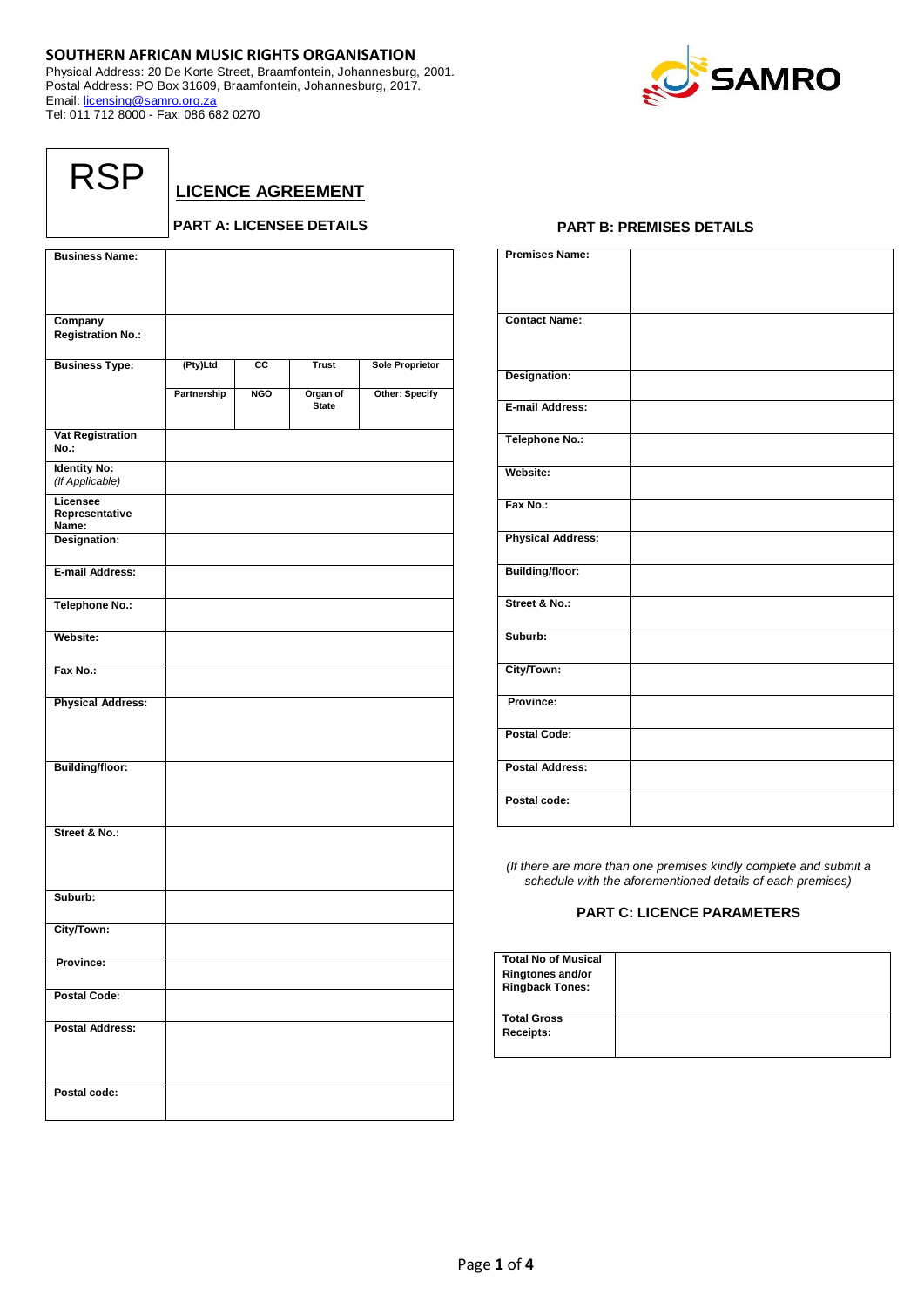## **SOUTHERN AFRICAN MUSIC RIGHTS ORGANISATION**

Physical Address: 20 De Korte Street, Braamfontein, Johannesburg, 2001. Postal Address: PO Box 31609, Braamfontein, Johannesburg, 2017. Email: [licensing@samro.org.za](mailto:licensing@samro.org.za) Tel: 011 712 8000 - Fax: 086 682 0270



**LICENCE AGREEMENT**

## **PART A: LICENSEE DETAILS**

| <b>Business Name:</b>      |             |            |              |                        |
|----------------------------|-------------|------------|--------------|------------------------|
|                            |             |            |              |                        |
|                            |             |            |              |                        |
| Company                    |             |            |              |                        |
| <b>Registration No.:</b>   |             |            |              |                        |
|                            |             |            |              |                        |
| <b>Business Type:</b>      | (Pty)Ltd    | СC         | <b>Trust</b> | <b>Sole Proprietor</b> |
|                            | Partnership | <b>NGO</b> | Organ of     | Other: Specify         |
|                            |             |            | <b>State</b> |                        |
| <b>Vat Registration</b>    |             |            |              |                        |
| No.:                       |             |            |              |                        |
| <b>Identity No:</b>        |             |            |              |                        |
| (If Applicable)            |             |            |              |                        |
| Licensee<br>Representative |             |            |              |                        |
| Name:                      |             |            |              |                        |
| Designation:               |             |            |              |                        |
| E-mail Address:            |             |            |              |                        |
|                            |             |            |              |                        |
| <b>Telephone No.:</b>      |             |            |              |                        |
|                            |             |            |              |                        |
| Website:                   |             |            |              |                        |
| Fax No.:                   |             |            |              |                        |
|                            |             |            |              |                        |
| <b>Physical Address:</b>   |             |            |              |                        |
|                            |             |            |              |                        |
|                            |             |            |              |                        |
|                            |             |            |              |                        |
| <b>Building/floor:</b>     |             |            |              |                        |
|                            |             |            |              |                        |
|                            |             |            |              |                        |
| Street & No.:              |             |            |              |                        |
|                            |             |            |              |                        |
|                            |             |            |              |                        |
| Suburb:                    |             |            |              |                        |
|                            |             |            |              |                        |
| City/Town:                 |             |            |              |                        |
|                            |             |            |              |                        |
| Province:                  |             |            |              |                        |
| <b>Postal Code:</b>        |             |            |              |                        |
|                            |             |            |              |                        |
| <b>Postal Address:</b>     |             |            |              |                        |
|                            |             |            |              |                        |
|                            |             |            |              |                        |
| Postal code:               |             |            |              |                        |
|                            |             |            |              |                        |

## **PART B: PREMISES DETAILS**

| <b>Premises Name:</b>    |  |
|--------------------------|--|
|                          |  |
|                          |  |
|                          |  |
|                          |  |
| <b>Contact Name:</b>     |  |
|                          |  |
|                          |  |
|                          |  |
|                          |  |
| Designation:             |  |
|                          |  |
| E-mail Address:          |  |
|                          |  |
|                          |  |
| Telephone No.:           |  |
|                          |  |
|                          |  |
| Website:                 |  |
|                          |  |
| Fax No.:                 |  |
|                          |  |
|                          |  |
| <b>Physical Address:</b> |  |
|                          |  |
|                          |  |
| <b>Building/floor:</b>   |  |
|                          |  |
| Street & No.:            |  |
|                          |  |
|                          |  |
| Suburb:                  |  |
|                          |  |
| City/Town:               |  |
|                          |  |
|                          |  |
| Province:                |  |
|                          |  |
|                          |  |
| <b>Postal Code:</b>      |  |
|                          |  |
| <b>Postal Address:</b>   |  |
|                          |  |
|                          |  |
| Postal code:             |  |
|                          |  |
|                          |  |

*(If there are more than one premises kindly complete and submit a schedule with the aforementioned details of each premises)*

## **PART C: LICENCE PARAMETERS**

| <b>Total No of Musical</b><br><b>Ringtones and/or</b><br><b>Ringback Tones:</b> |  |
|---------------------------------------------------------------------------------|--|
| <b>Total Gross</b><br>Receipts:                                                 |  |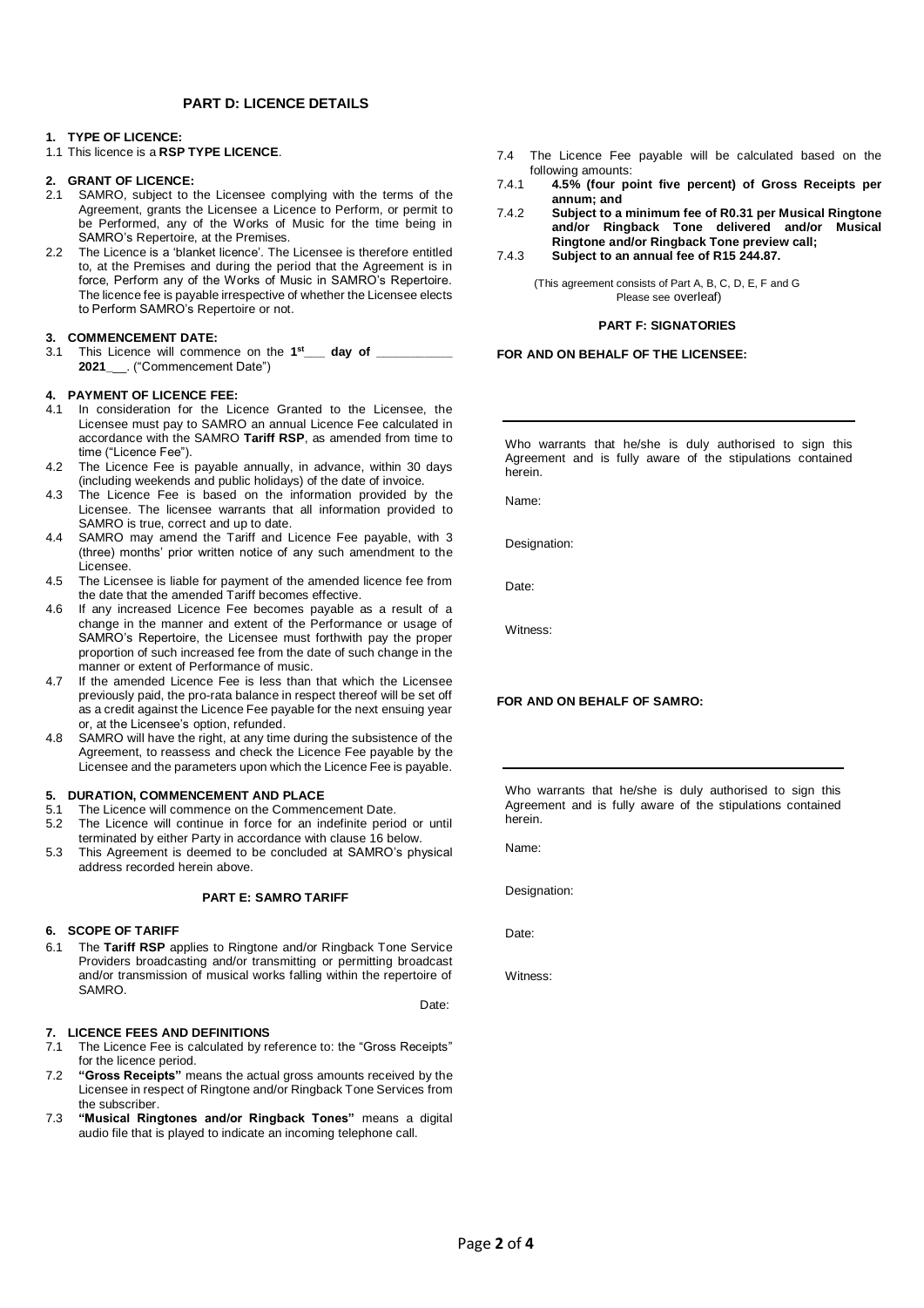## **PART D: LICENCE DETAILS**

## **1. TYPE OF LICENCE:**

1.1 This licence is a **RSP TYPE LICENCE**.

### **2. GRANT OF LICENCE:**

- 2.1 SAMRO, subject to the Licensee complying with the terms of the Agreement, grants the Licensee a Licence to Perform, or permit to be Performed, any of the Works of Music for the time being in SAMRO's Repertoire, at the Premises.
- 2.2 The Licence is a 'blanket licence'. The Licensee is therefore entitled to, at the Premises and during the period that the Agreement is in force, Perform any of the Works of Music in SAMRO's Repertoire. The licence fee is payable irrespective of whether the Licensee elects to Perform SAMRO's Repertoire or not.

# **3. COMMENCEMENT DATE:**

3.1 This Licence will commence on the **1 st\_\_\_ day of \_\_\_\_\_\_\_\_\_\_\_ 2021\_**\_\_. ("Commencement Date")

## **4. PAYMENT OF LICENCE FEE:**

- 4.1 In consideration for the Licence Granted to the Licensee, the Licensee must pay to SAMRO an annual Licence Fee calculated in accordance with the SAMRO **Tariff RSP**, as amended from time to time ("Licence Fee").
- 4.2 The Licence Fee is payable annually, in advance, within 30 days (including weekends and public holidays) of the date of invoice.
- 4.3 The Licence Fee is based on the information provided by the Licensee. The licensee warrants that all information provided to SAMRO is true, correct and up to date.
- 4.4 SAMRO may amend the Tariff and Licence Fee payable, with 3 (three) months' prior written notice of any such amendment to the Licensee.
- 4.5 The Licensee is liable for payment of the amended licence fee from the date that the amended Tariff becomes effective.
- 4.6 If any increased Licence Fee becomes payable as a result of a change in the manner and extent of the Performance or usage of SAMRO's Repertoire, the Licensee must forthwith pay the proper proportion of such increased fee from the date of such change in the manner or extent of Performance of music.
- 4.7 If the amended Licence Fee is less than that which the Licensee previously paid, the pro-rata balance in respect thereof will be set off as a credit against the Licence Fee payable for the next ensuing year or, at the Licensee's option, refunded.
- 4.8 SAMRO will have the right, at any time during the subsistence of the Agreement, to reassess and check the Licence Fee payable by the Licensee and the parameters upon which the Licence Fee is payable.

## **5. DURATION, COMMENCEMENT AND PLACE**

- 5.1 The Licence will commence on the Commencement Date.
- 5.2 The Licence will continue in force for an indefinite period or until terminated by either Party in accordance with clause 16 below.
- 5.3 This Agreement is deemed to be concluded at SAMRO's physical address recorded herein above.

### **PART E: SAMRO TARIFF**

### **6. SCOPE OF TARIFF**

6.1 The **Tariff RSP** applies to Ringtone and/or Ringback Tone Service Providers broadcasting and/or transmitting or permitting broadcast and/or transmission of musical works falling within the repertoire of SAMRO.

Date:

### **7. LICENCE FEES AND DEFINITIONS**

- 7.1 The Licence Fee is calculated by reference to: the "Gross Receipts" for the licence period.
- 7.2 **"Gross Receipts"** means the actual gross amounts received by the Licensee in respect of Ringtone and/or Ringback Tone Services from the subscriber.
- 7.3 **"Musical Ringtones and/or Ringback Tones"** means a digital audio file that is played to indicate an incoming telephone call.
- 7.4 The Licence Fee payable will be calculated based on the following amounts:
- 7.4.1 **4.5% (four point five percent) of Gross Receipts per annum; and**
- 7.4.2 **Subject to a minimum fee of R0.31 per Musical Ringtone and/or Ringback Tone delivered and/or Musical Ringtone and/or Ringback Tone preview call;**
- 7.4.3 **Subject to an annual fee of R15 244.87.**

(This agreement consists of Part A, B, C, D, E, F and G Please see overleaf)

### **PART F: SIGNATORIES**

## **FOR AND ON BEHALF OF THE LICENSEE:**

Who warrants that he/she is duly authorised to sign this Agreement and is fully aware of the stipulations contained herein.

Name:

Designation:

Date:

Witness:

### **FOR AND ON BEHALF OF SAMRO:**

Who warrants that he/she is duly authorised to sign this Agreement and is fully aware of the stipulations contained herein.

Name:

Designation:

Date:

Witness: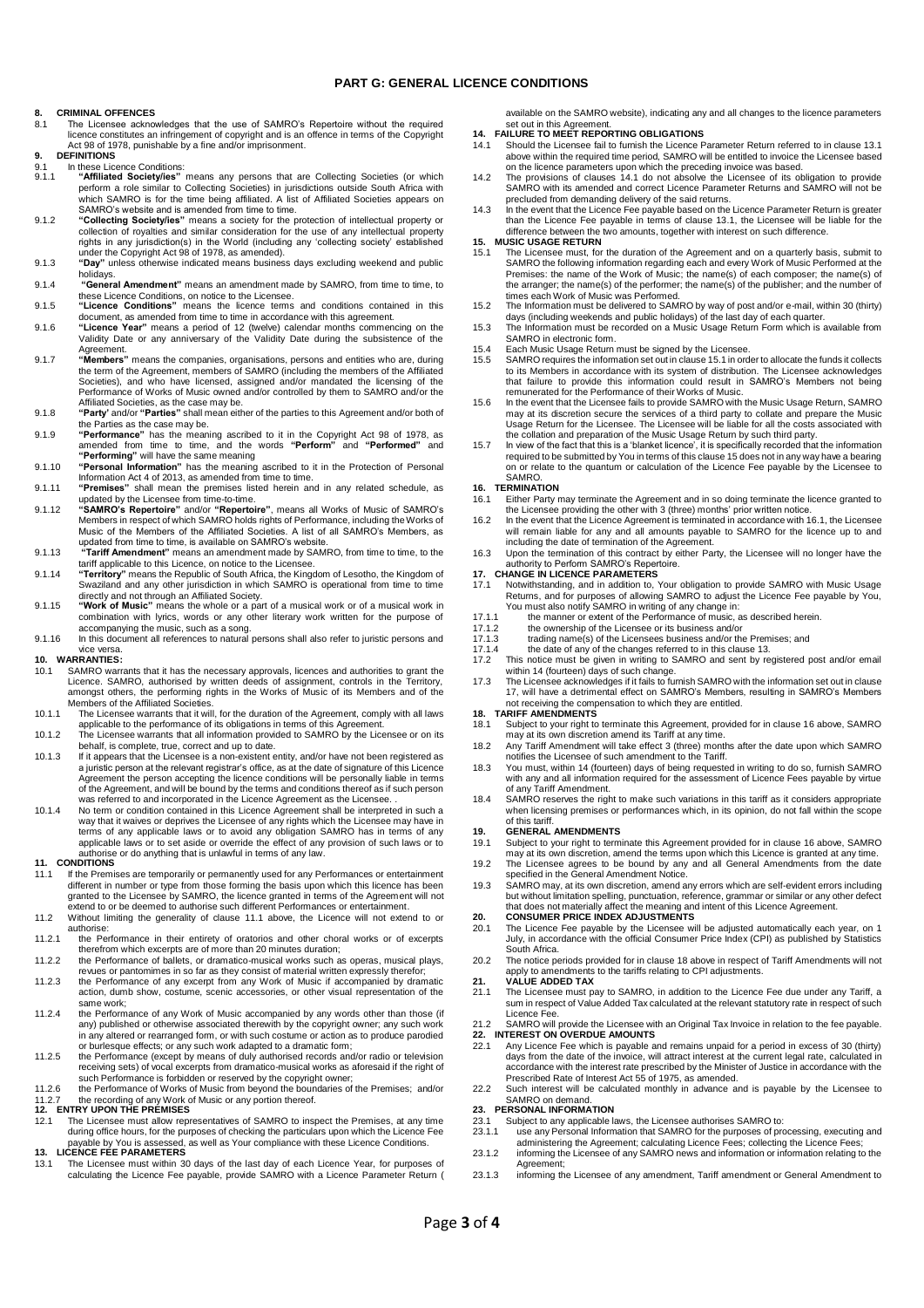### **PART G: GENERAL LICENCE CONDITIONS**

### **8. CRIMINAL OFFENCES**

- 8.1 The Licensee acknowledges that the use of SAMRO's Repertoire without the required licence constitutes an infringement of copyright and is an offence in terms of the Copyright Act 98 of 1978, punishable by a fine and/or imprisonment.
- **9. DEFINITIONS**
- 9.1 In these Licence Conditions:<br>9.1. **Affiliated Society/ies**" 9.1.1 "Affiliated Society/ies" means any persons that are Collecting Societies (or which perform a role similar to Collecting Societies) in jurisdictions outside South Africa with which SAMRO is for the time being affiliat
- 9.1.2 **"Collecting Society/ies"** means a society for the protection of intellectual property or collection of royalties and similar consideration for the use of any intellectual property rights in any jurisdiction(s) in the World (including any 'collecting society' established under the Copyright Act 98 of 1978, as amended).
- 9.1.3 **"Day"** unless otherwise indicated means business days excluding weekend and public
- holidays. 9.1.4 **"General Amendment"** means an amendment made by SAMRO, from time to time, to these Licence Conditions, on notice to the Licensee. 9.1.5 **"Licence Conditions"** means the licence terms and conditions contained in this
- 
- document, as amended from time to time in accordance with this agreement. 9.1.6 **"Licence Year"** means a period of 12 (twelve) calendar months commencing on the Validity Date or any anniversary of the Validity Date during the subsistence of the
- Agreement.<br>9.1.7 **"Members**" means the companies, organisations, persons and entities who are, during<br>the term of the Agreement, members of SAMRO (including the members of the Affiliated Societies), and who have licensed, assigned and/or mandated the licensing of the Performance of Works of Music owned and/or controlled by them to SAMRO and/or the Affiliated Societies, as the case may be.
- 9.1.8 **"Party'** and/or **"Parties"** shall mean either of the parties to this Agreement and/or both of the Parties as the case may be.
- 9.1.9 **"Performance"** has the meaning ascribed to it in the Copyright Act 98 of 1978, as amended from time to time, and the words **"Perform"** and **"Performed"** and **"Performing"** will have the same meaning
- 9.1.10 **"Personal Information"** has the meaning ascribed to it in the Protection of Personal Information Act 4 of 2013, as amended from time to time. 9.1.11 **"Premises"** shall mean the premises listed herein and in any related schedule, as
- 
- updated by the Licensee from time-to-time.<br>9.1.12 "SAMRO's Repertoire" and/or "Repertoire", means all Works of Music of SAMRO's<br>Members in respect of which SAMRO holds rights of Performance, including the Works of<br>Music of
- 9.1.13 **"Tariff Amendment"** means an amendment made by SAMRO, from time to time, to the tariff applicable to this Licence, on notice to the Licensee.
- 9.1.14 **"Territory"** means the Republic of South Africa, the Kingdom of Lesotho, the Kingdom of Swaziland and any other jurisdiction in which SAMRO is operational from time to time directly and not through an Affiliated Society. 9.1.15 **"Work of Music"** means the whole or a part of a musical work or of a musical work in
- combination with lyrics, words or any other literary work written for the purpose of accompanying the music, such as a song. 9.1.16 In this document all references to natural persons shall also refer to juristic persons and
- vice versa. **10. WARRANTIES:**

- 10.1 SAMRO warrants that it has the necessary approvals, licences and authorities to grant the Licence. SAMRO, authorised by written deeds of assignment, controls in the Territory, amongst others, the performing rights in
- 10.1.1 The Licensee warrants that it will, for the duration of the Agreement, comply with all laws applicable to the performance of its obligations in terms of this Agreement.
- 10.1.2 The Licensee warrants that all information provided to SAMRO by the Licensee or on its behalf, is complete, true, correct and up to date.
- 10.1.3 If it appears that the Licensee is a non-existent entity, and/or have not been registered as a juristic person at the relevant registrar's office, as at the date of signature of this Licence Agreement the person accepting the licence conditions will be personally liable in terms<br>of the Agreement, and will be bound by the terms and conditions thereof as if such person<br>was referred to and incorporated in the Lic
- 10.1.4 No term or condition contained in this Licence Agreement shall be interpreted in such a way that it waives or deprives the Licensee of any rights which the Licensee may have in<br>terms of any applicable laws or to avoid any obligation SAMRO has in terms of any<br>applicable laws or to set aside or override the eff authorise or do anything that is unlawful in terms of any law. **11. CONDITIONS**

- 11.1 If the Premises are temporarily or permanently used for any Performances or entertainment different in number or type from those forming the basis upon which this licence has been granted to the Licensee by SAMRO, the licence granted in terms of the Agreement will not extend to or be deemed to authorise such different Performances or entertainment.
- 11.2 Without limiting the generality of clause 11.1 above, the Licence will not extend to or authorise:
- 11.2.1 the Performance in their entirety of oratorios and other choral works or of excerpts
- therefrom which excerpts are of more than 20 minutes duration; 11.2.2 the Performance of ballets, or dramatico-musical works such as operas, musical plays,
- revues or pantomimes in so far as they consist of material written expressly therefor; 11.2.3 the Performance of any excerpt from any Work of Music if accompanied by dramatic action, dumb show, costume, scenic accessories, or other visual representation of the same work;
- 11.2.4 the Performance of any Work of Music accompanied by any words other than those (if any) published or otherwise associated therewith by the copyright owner; any such work in any altered or rearranged form, or with such costume or action as to produce parodied or burlesque effects; or any such work adapted to a dramatic form;
- 11.2.5 the Performance (except by means of duly authorised records and/or radio or television receiving sets) of vocal excerpts from dramatico-musical works as aforesaid if the right of
- such Performance is forbidden or reserved by the copyright owner;<br>11.2.6 the Performance of Works of Music from beyond the boundaries of the Premises; and/or<br>11.2.7 the recording of any Work of Music or any portion thereof

- during office hours, for the purposes of checking the particulars upon which the Licence Fee payable by You is assessed, as well as Your compliance with these Licence Conditions. **13. LICENCE FEE PARAMETERS**
- 13.1 The Licensee must within 30 days of the last day of each Licence Year, for purposes of calculating the Licence Fee payable, provide SAMRO with a Licence Parameter Return (

available on the SAMRO website), indicating any and all changes to the licence parameters set out in this Agreement. **14. FAILURE TO MEET REPORTING OBLIGATIONS**

- 
- 14.1 Should the Licensee fail to furnish the Licence Parameter Return referred to in clause 13.1 above within the required time period, SAMRO will be entitled to invoice the Licensee based on the licence parameters upon which the preceding invoice was based.
- 14.2 The provisions of clauses 14.1 do not absolve the Licensee of its obligation to provide SAMRO with its amended and correct Licence Parameter Returns and SAMRO will not be precluded from demanding delivery of the said returns.
- 14.3 In the event that the Licence Fee payable based on the Licence Parameter Return is greater than the Licence Fee payable in terms of clause 13.1, the Licensee will be liable for the difference between the two amounts, together with interest on such difference. **15. MUSIC USAGE RETURN**

- 15.1 The Licensee must, for the duration of the Agreement and on a quarterly basis, submit to SAMRO the following information regarding each and every Work of Music Performed at the Premises: the name of the Work of Music; the name(s) of each composer; the name(s) of the arranger; the name(s) of the performer; the name(s) of the publisher; and the number of times each Work of Music was Performed. 15.2 The Information must be delivered to SAMRO by way of post and/or e-mail, within 30 (thirty)
- days (including weekends and public holidays) of the last day of each quarter. 15.3 The Information must be recorded on a Music Usage Return Form which is available from
- SAMRO in electronic form.
- 15.4 Each Music Usage Return must be signed by the Licensee.
- 15.5 SAMRO requires the information set out in clause 15.1 in order to allocate the funds it collects to its Members in accordance with its system of distribution. The Licensee acknowledges that failure to provide this information could result in SAMRO's Members not being remunerated for the Performance of their Works of Music.
- 15.6 In the event that the Licensee fails to provide SAMRO with the Music Usage Return, SAMRO may at its discretion secure the services of a third party to collate and prepare the Music Usage Return for the Licensee. The Licensee will be liable for all the costs associated with the collation and preparation of the Music Usage Return by such third party.
- 15.7 In view of the fact that this is a 'blanket licence', it is specifically recorded that the information required to be submitted by You in terms of this clause 15 does not in any way have a bearing on or relate to the quantum or calculation of the Licence Fee payable by the Licensee to SAMRO.

- **16. TERMINATION**<br>**16.1** Either Party r 16.1 Either Party may terminate the Agreement and in so doing terminate the licence granted to<br>the Licensee providing the other with 3 (three) months' prior written notice.<br>In the event that the Licence Agreement is termin
- will remain liable for any and all amounts payable to SAMRO for the licence up to and including the date of termination of the Agreement.
- 16.3 Upon the termination of this contract by either Party, the Licensee will no longer have the authority to Perform SAMRO's Repertoire.

## **17. CHANGE IN LICENCE PARAMETERS**<br>17.1 Notwithstanding and in addition to

- 17.1 Notwithstanding, and in addition to, Your obligation to provide SAMRO with Music Usage Returns, and for purposes of allowing SAMRO to adjust the Licence Fee payable by You, You must also notify SAMRO in writing of any change in:
- 
- 17.1.1 the manner or extent of the Performance of music, as described herein. 17.1.2 the ownership of the Licensee or its business and/or
- 
- 17.1.3 trading name(s) of the Licensees business and/or the Premises; and 17.1.4 the date of any of the changes referred to in this clause 13.
- This notice must be given in writing to SAMRO and sent by registered post and/or email<br>writhin 14 (fourteen) days of such change.<br>The Licensee acknowledges if it fails to furnish SAMRO with the information set out in claus
- 17, will have a detrimental effect on SAMRO's Members, resulting in SAMRO's Members not receiving the compensation to which they are entitled.

### **18. TARIFF AMENDMENTS**

- 18.1 Subject to your right to terminate this Agreement, provided for in clause 16 above, SAMRO may at its own discretion amend its Tariff at any time. 18.2 Any Tariff Amendment will take effect 3 (three) months after the date upon which SAMRO
- notifies the Licensee of such amendment to the Tariff.
- 18.3 You must, within 14 (fourteen) days of being requested in writing to do so, furnish SAMRO with any and all information required for the assessment of Licence Fees payable by virtue
- of any Tariff Amendment. 18.4 SAMRO reserves the right to make such variations in this tariff as it considers appropriate when licensing premises or performances which, in its opinion, do not fall within the scope of this tariff.

## **19. GENERAL AMENDMENTS**<br>19.1 Subject to your right to term

- 19.1 Subject to your right to terminate this Agreement provided for in clause 16 above, SAMRO
- may at its own discretion, amend the terms upon which this Licence is granted at any time. 19.2 The Licensee agrees to be bound by any and all General Amendments from the date specified in the General Amendment Notice.
- 19.3 SAMRO may, at its own discretion, amend any errors which are self-evident errors including but without limitation spelling, punctuation, reference, grammar or similar or any other defect<br>that does not materially affect the meaning and intent of this Licence Agreement.<br>20. CONSUMER PRICE INDEX ADJUSTMENTS

- 20.1 The Licence Fee payable by the Licensee will be adjusted automatically each year, on 1 July, in accordance with the official Consumer Price Index (CPI) as published by Statistics South Africa.
- 20.2 The notice periods provided for in clause 18 above in respect of Tariff Amendments will not apply to amendments to the tariffs relating to CPI adjustments. **21. VALUE ADDED TAX**

# 21.1 The Licensee must pay to SAMRO, in addition to the Licence Fee due under any Tariff, a sum in respect of Value Added Tax calculated at the relevant statutory rate in respect of such

- Licence Fee. 21.2 SAMRO will provide the Licensee with an Original Tax Invoice in relation to the fee payable. **22. INTEREST ON OVERDUE AMOUNTS**
- 22.1 Any Licence Fee which is payable and remains unpaid for a period in excess of 30 (thirty) days from the date of the invoice, will attract interest at the current legal rate, calculated in accordance with the interest rate prescribed by the Minister of Justice in accordance with the accordance with the interest rate prescribed by the Minister of Justice in accordance with the
- Prescribed Rate of Interest Act 55 of 1975, as amended. 22.2 Such interest will be calculated monthly in advance and is payable by the Licensee to SAMRO on demand.

## **23. PERSONAL INFORMATION**

- 23.1 Subject to any applicable laws, the Licensee authorises SAMRO to:<br>23.1 Subject to any applicable laws, the Licensee authorises SAMRO to:
- 23.1.1 use any Personal Information that SAMRO for the purposes of processing, executing and<br>administering the Agreement; calculating Licence Fees; collecting the Licence Fees;<br>23.1.2 informing the Licensee of any SAMRO ne Agreement;
- 23.1.3 informing the Licensee of any amendment, Tariff amendment or General Amendment to